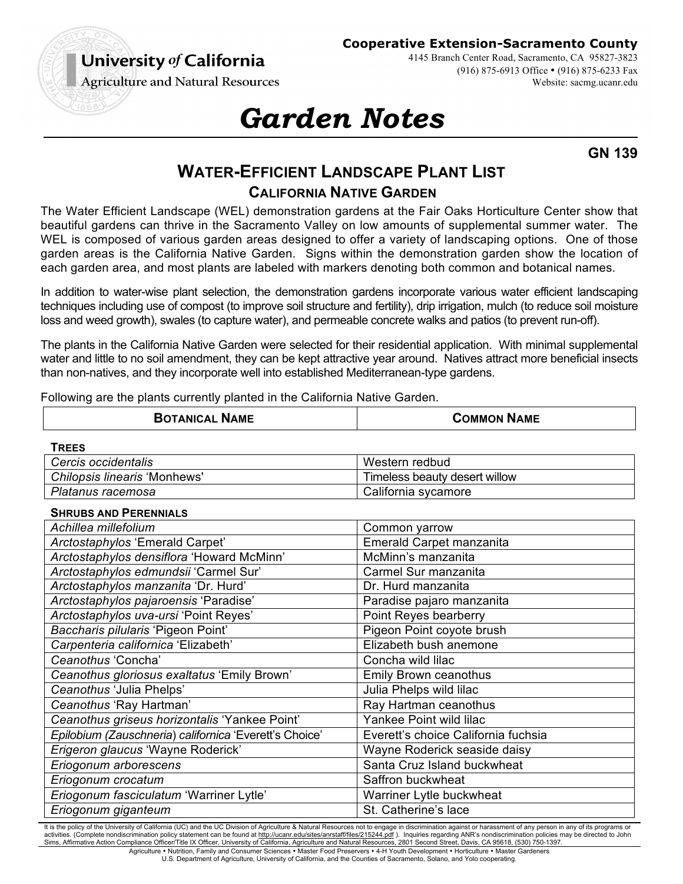University of California **Agriculture and Natural Resources**  **Cooperative Extension-Sacramento County**

4145 Branch Center Road, Sacramento, CA 95827-3823 (916) 875-6913 Office • (916) 875-6233 Fax Website: sacmg.ucanr.edu

# *Garden Notes*

**GN 139**

# **WATER-EFFICIENT LANDSCAPE PLANT LIST CALIFORNIA NATIVE GARDEN**

The Water Efficient Landscape (WEL) demonstration gardens at the Fair Oaks Horticulture Center show that beautiful gardens can thrive in the Sacramento Valley on low amounts of supplemental summer water. The WEL is composed of various garden areas designed to offer a variety of landscaping options. One of those garden areas is the California Native Garden. Signs within the demonstration garden show the location of each garden area, and most plants are labeled with markers denoting both common and botanical names.

In addition to water-wise plant selection, the demonstration gardens incorporate various water efficient landscaping techniques including use of compost (to improve soil structure and fertility), drip irrigation, mulch (to reduce soil moisture loss and weed growth), swales (to capture water), and permeable concrete walks and patios (to prevent run-off).

The plants in the California Native Garden were selected for their residential application. With minimal supplemental water and little to no soil amendment, they can be kept attractive year around. Natives attract more beneficial insects than non-natives, and they incorporate well into established Mediterranean-type gardens.

Following are the plants currently planted in the California Native Garden.

| <b>COMMON NAME</b><br><b>BOTANICAL NAME</b> |
|---------------------------------------------|
|---------------------------------------------|

**TREES** 

| -----------                  |                               |
|------------------------------|-------------------------------|
| Cercis occidentalis          | Western redbud                |
| Chilopsis linearis 'Monhews' | Timeless beauty desert willow |
| Platanus racemosa            | California sycamore           |

#### **SHRUBS AND PERENNIALS**

| Achillea millefolium                                   | Common yarrow                       |
|--------------------------------------------------------|-------------------------------------|
| Arctostaphylos 'Emerald Carpet'                        | Emerald Carpet manzanita            |
| Arctostaphylos densiflora 'Howard McMinn'              | McMinn's manzanita                  |
| Arctostaphylos edmundsii 'Carmel Sur'                  | Carmel Sur manzanita                |
| Arctostaphylos manzanita 'Dr. Hurd'                    | Dr. Hurd manzanita                  |
| Arctostaphylos pajaroensis 'Paradise'                  | Paradise pajaro manzanita           |
| Arctostaphylos uva-ursi 'Point Reyes'                  | Point Reyes bearberry               |
| Baccharis pilularis 'Pigeon Point'                     | Pigeon Point coyote brush           |
| Carpenteria californica 'Elizabeth'                    | Elizabeth bush anemone              |
| Ceanothus 'Concha'                                     | Concha wild lilac                   |
| Ceanothus gloriosus exaltatus 'Emily Brown'            | Emily Brown ceanothus               |
| Ceanothus 'Julia Phelps'                               | Julia Phelps wild lilac             |
| Ceanothus 'Ray Hartman'                                | Ray Hartman ceanothus               |
| Ceanothus griseus horizontalis 'Yankee Point'          | Yankee Point wild lilac             |
| Epilobium (Zauschneria) californica 'Everett's Choice' | Everett's choice California fuchsia |
| Erigeron glaucus 'Wayne Roderick'                      | Wayne Roderick seaside daisy        |
| Eriogonum arborescens                                  | Santa Cruz Island buckwheat         |
| Eriogonum crocatum                                     | Saffron buckwheat                   |
| Eriogonum fasciculatum 'Warriner Lytle'                | Warriner Lytle buckwheat            |
| Eriogonum giganteum                                    | St. Catherine's lace                |

It is the policy of the University of California (UC) and the UC Division of Agriculture & Natural Resources not to engage in discrimination against or harassment of any person in any of its programs or activities. (Complete nondiscrimination policy statement can be found at http://ucanr.edu/sites/anrstaff/files/215244.pdf ). Inquiries regarding ANR's nondiscrimination policies may be directed to John Sims, Affirmative Action Compliance Officer/Title IX Officer, University of California, Agriculture and Natural Resources, 2801 Second Street, Davis, CA 95618, (530) 750-1397. Agriculture • Nutrition, Family and Consumer Sciences • Master Food Preservers • 4-H Youth Development • Horticulture • Master Gardeners

U.S. Department of Agriculture, University of California, and the Counties of Sacramento, Solano, and Yolo cooperating.